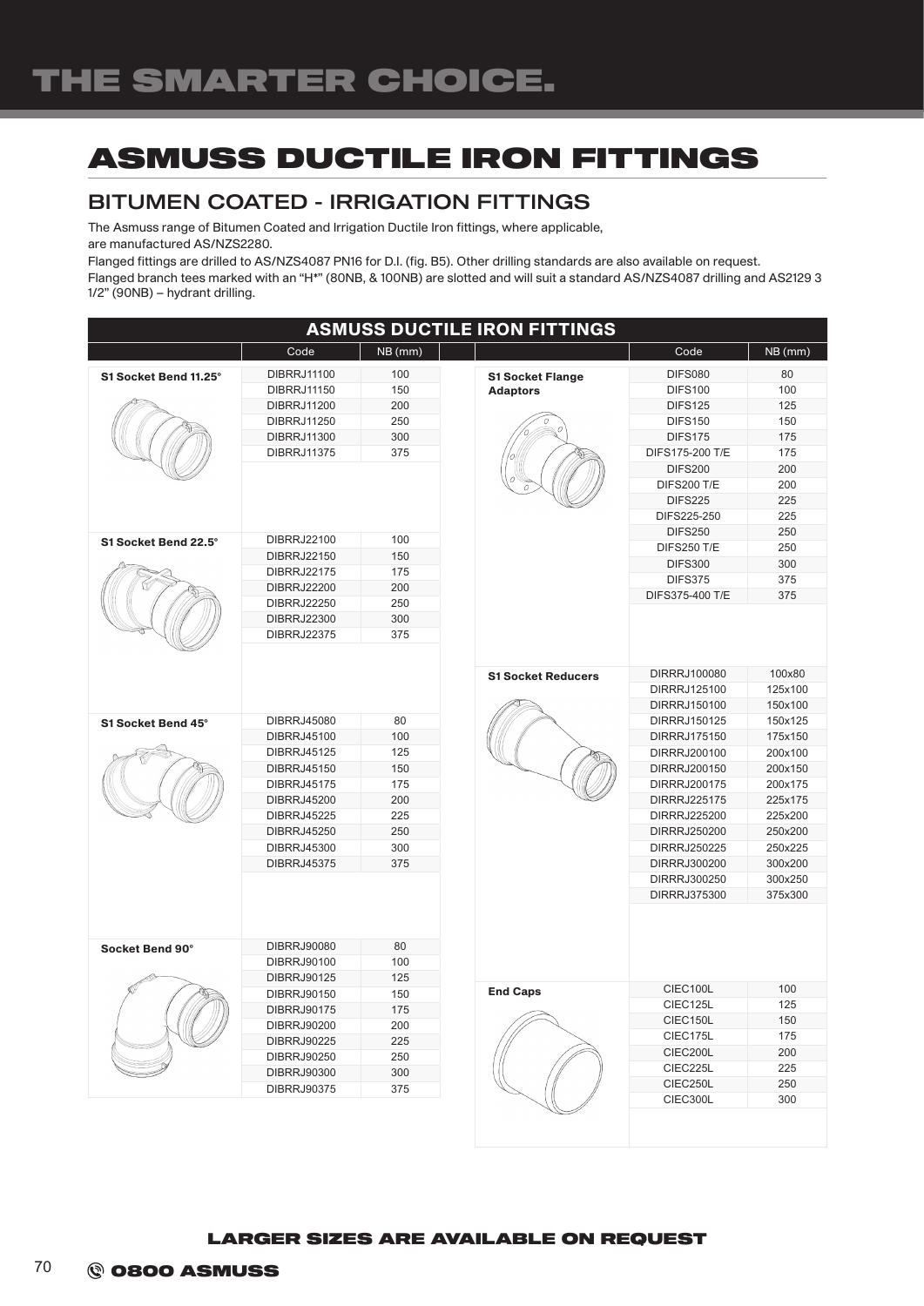# ASMUSS DUCTILE IRON FITTINGS

### BITUMEN COATED - IRRIGATION FITTINGS

The Asmuss range of Bitumen Coated and Irrigation Ductile Iron fittings, where applicable, are manufactured AS/NZS2280.

Flanged fittings are drilled to AS/NZS4087 PN16 for D.I. (fig. B5). Other drilling standards are also available on request.

Flanged branch tees marked with an "H\*" (80NB, & 100NB) are slotted and will suit a standard AS/NZS4087 drilling and AS2129 3 1/2" (90NB) – hydrant drilling.

| <b>ASMUSS DUCTILE IRON FITTINGS</b> |                                   |         |                           |                              |                    |  |  |  |  |
|-------------------------------------|-----------------------------------|---------|---------------------------|------------------------------|--------------------|--|--|--|--|
|                                     | Code                              | NB (mm) |                           | Code                         | NB (mm)            |  |  |  |  |
| S1 Socket Bend 11.25°               | <b>DIBRRJ11100</b>                | 100     | <b>S1 Socket Flange</b>   | <b>DIFS080</b>               | 80                 |  |  |  |  |
|                                     | <b>DIBRRJ11150</b>                | 150     | <b>Adaptors</b>           | <b>DIFS100</b>               | 100                |  |  |  |  |
|                                     | <b>DIBRRJ11200</b>                | 200     |                           | <b>DIFS125</b>               | 125                |  |  |  |  |
|                                     | <b>DIBRRJ11250</b>                | 250     |                           | <b>DIFS150</b>               | 150                |  |  |  |  |
|                                     | <b>DIBRRJ11300</b>                | 300     |                           | <b>DIFS175</b>               | 175                |  |  |  |  |
|                                     | <b>DIBRRJ11375</b>                | 375     |                           | DIFS175-200 T/E              | 175                |  |  |  |  |
|                                     |                                   |         |                           | <b>DIFS200</b>               | 200                |  |  |  |  |
|                                     |                                   |         |                           | <b>DIFS200 T/E</b>           | 200                |  |  |  |  |
|                                     |                                   |         |                           | <b>DIFS225</b>               | 225                |  |  |  |  |
|                                     |                                   |         |                           | DIFS225-250                  | 225                |  |  |  |  |
|                                     |                                   | 100     |                           | <b>DIFS250</b>               | 250                |  |  |  |  |
| S1 Socket Bend 22.5°                | DIBRRJ22100                       | 150     |                           | <b>DIFS250 T/E</b>           | 250                |  |  |  |  |
|                                     | DIBRRJ22150<br><b>DIBRRJ22175</b> | 175     |                           | <b>DIFS300</b>               | 300                |  |  |  |  |
|                                     | <b>DIBRRJ22200</b>                | 200     |                           | <b>DIFS375</b>               | 375                |  |  |  |  |
|                                     | DIBRRJ22250                       | 250     |                           | DIFS375-400 T/E              | 375                |  |  |  |  |
|                                     | <b>DIBRRJ22300</b>                | 300     |                           |                              |                    |  |  |  |  |
|                                     | <b>DIBRRJ22375</b>                | 375     |                           |                              |                    |  |  |  |  |
|                                     |                                   |         |                           |                              |                    |  |  |  |  |
|                                     |                                   |         |                           |                              |                    |  |  |  |  |
|                                     |                                   |         | <b>S1 Socket Reducers</b> | DIRRRJ100080                 | 100x80             |  |  |  |  |
|                                     |                                   |         |                           | DIRRRJ125100<br>DIRRRJ150100 | 125x100<br>150x100 |  |  |  |  |
| S1 Socket Bend 45°                  | <b>DIBRRJ45080</b>                | 80      |                           | DIRRRJ150125                 | 150x125            |  |  |  |  |
|                                     | <b>DIBRRJ45100</b>                | 100     |                           | DIRRRJ175150                 | 175x150            |  |  |  |  |
|                                     | <b>DIBRRJ45125</b>                | 125     |                           | DIRRRJ200100                 | 200x100            |  |  |  |  |
|                                     | DIBRRJ45150                       | 150     |                           | DIRRRJ200150                 | 200x150            |  |  |  |  |
|                                     | <b>DIBRRJ45175</b>                | 175     |                           | DIRRRJ200175                 | 200x175            |  |  |  |  |
|                                     | DIBRRJ45200                       | 200     |                           | DIRRRJ225175                 | 225x175            |  |  |  |  |
|                                     | <b>DIBRRJ45225</b>                | 225     |                           | DIRRRJ225200                 | 225x200            |  |  |  |  |
|                                     | <b>DIBRRJ45250</b>                | 250     |                           | DIRRRJ250200                 | 250x200            |  |  |  |  |
|                                     | <b>DIBRRJ45300</b>                | 300     |                           | DIRRRJ250225                 | 250x225            |  |  |  |  |
|                                     | <b>DIBRRJ45375</b>                | 375     |                           | DIRRRJ300200                 | 300x200            |  |  |  |  |
|                                     |                                   |         |                           | DIRRRJ300250                 | 300x250            |  |  |  |  |
|                                     |                                   |         |                           | DIRRRJ375300                 | 375x300            |  |  |  |  |
|                                     |                                   |         |                           |                              |                    |  |  |  |  |
|                                     |                                   |         |                           |                              |                    |  |  |  |  |
| Socket Bend 90°                     | <b>DIBRRJ90080</b>                | 80      |                           |                              |                    |  |  |  |  |
|                                     | DIBRRJ90100                       | 100     |                           |                              |                    |  |  |  |  |
|                                     | <b>DIBRRJ90125</b>                | 125     |                           |                              |                    |  |  |  |  |
|                                     | DIBRRJ90150                       | 150     | <b>End Caps</b>           | CIEC100L                     | 100                |  |  |  |  |
|                                     | <b>DIBRRJ90175</b>                | 175     |                           | CIEC125L                     | 125                |  |  |  |  |
|                                     | <b>DIBRRJ90200</b>                | 200     |                           | CIEC150L                     | 150                |  |  |  |  |
|                                     | <b>DIBRRJ90225</b>                | 225     |                           | CIEC175L                     | 175                |  |  |  |  |
|                                     | DIBRRJ90250                       | 250     |                           | CIEC200L                     | 200                |  |  |  |  |
|                                     | <b>DIBRRJ90300</b>                | 300     |                           | CIEC225L                     | 225                |  |  |  |  |
|                                     | <b>DIBRRJ90375</b>                | 375     |                           | CIEC250L                     | 250                |  |  |  |  |
|                                     |                                   |         |                           | CIEC300L                     | 300                |  |  |  |  |

#### LARGER SIZES ARE AVAILABLE ON REQUEST